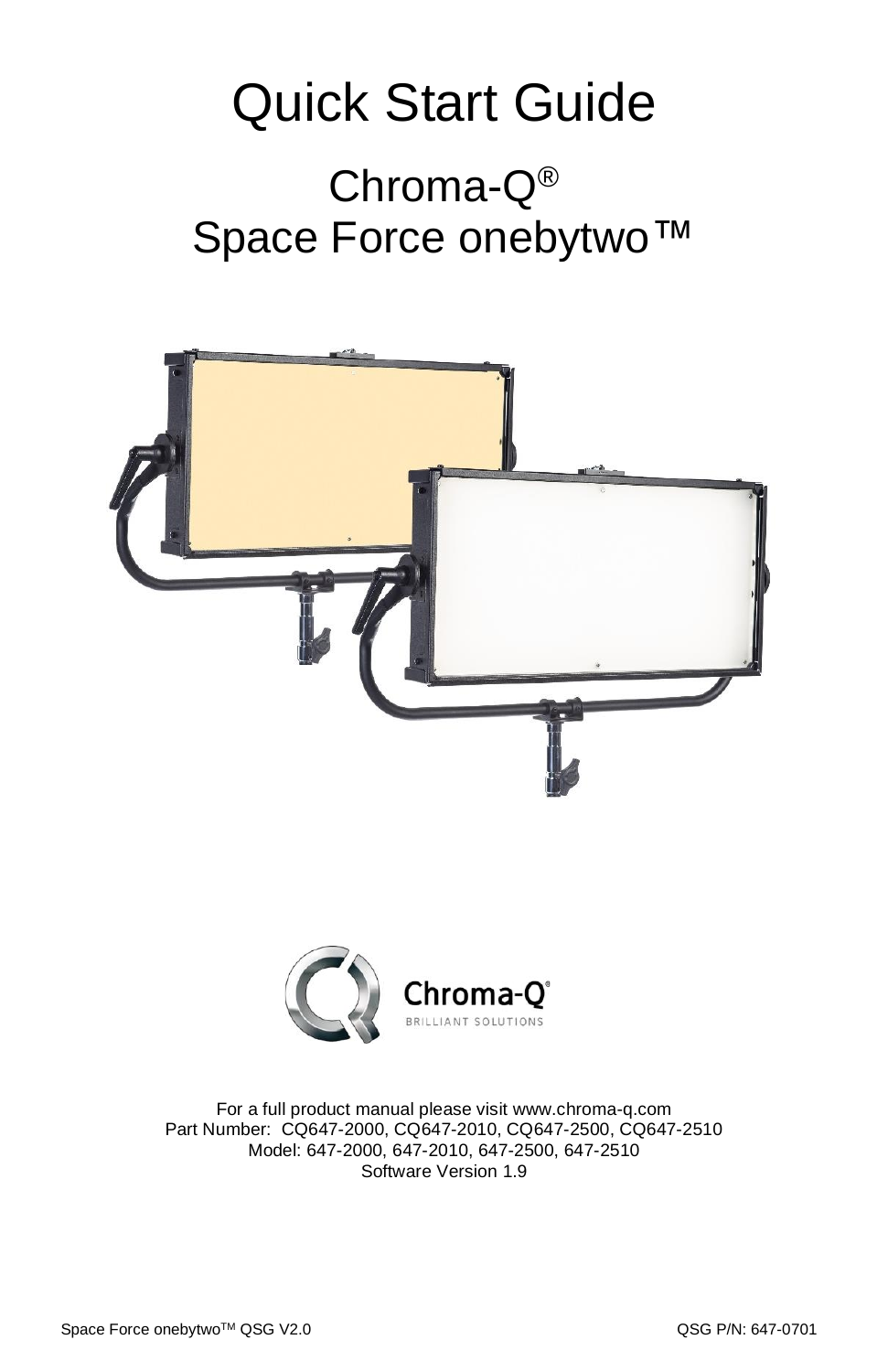## Quick Start Guide Chroma-Q® Space Force onebytwo<sup>™</sup>





For a full product manual please visit [www.chroma-q.com](http://www.chroma-q.com/) Part Number: CQ647-2000, CQ647-2010, CQ647-2500, CQ647-2510 Model: 647-2000, 647-2010, 647-2500, 647-2510 Software Version 1.9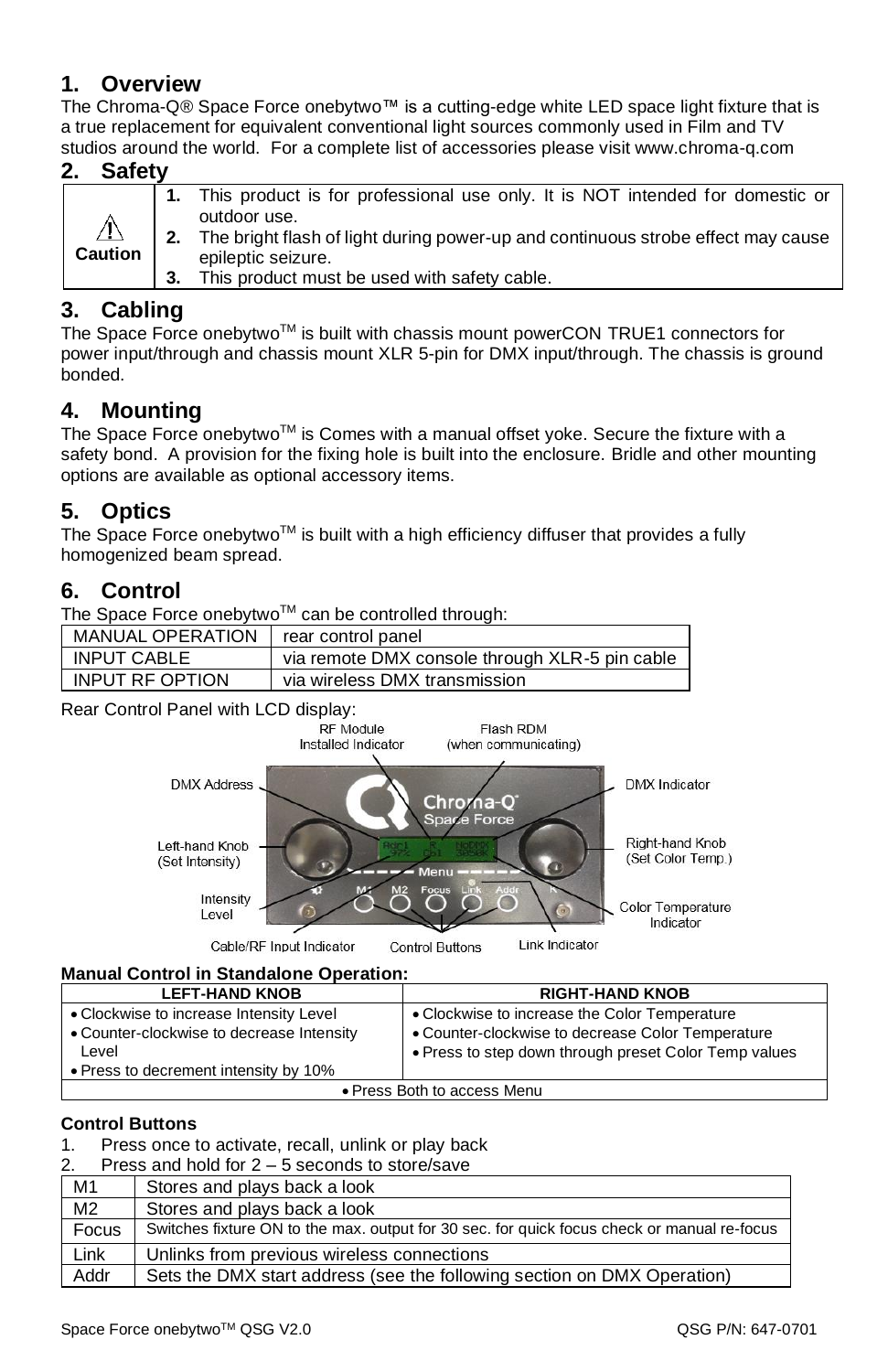#### **1. Overview**

The Chroma-Q® Space Force onebytwo™ is a cutting-edge white LED space light fixture that is a true replacement for equivalent conventional light sources commonly used in Film and TV studios around the world. For a complete list of accessories please visit www.chroma-q.com

|  | <b>Safety</b>                 |    |                                                                                     |
|--|-------------------------------|----|-------------------------------------------------------------------------------------|
|  | $\triangle$<br><b>Caution</b> |    | 1. This product is for professional use only. It is NOT intended for domestic or    |
|  |                               |    | outdoor use.                                                                        |
|  |                               |    | 2. The bright flash of light during power-up and continuous strobe effect may cause |
|  |                               |    | epileptic seizure.                                                                  |
|  |                               | 3. | This product must be used with safety cable.                                        |

#### **3. Cabling**

The Space Force onebytwo<sup>TM</sup> is built with chassis mount powerCON TRUE1 connectors for power input/through and chassis mount XLR 5-pin for DMX input/through. The chassis is ground bonded.

#### **4. Mounting**

The Space Force onebytwo™ is Comes with a manual offset yoke. Secure the fixture with a safety bond. A provision for the fixing hole is built into the enclosure. Bridle and other mounting options are available as optional accessory items.

#### **5. Optics**

The Space Force onebytwo<sup>TM</sup> is built with a high efficiency diffuser that provides a fully homogenized beam spread.

#### **6. Control**

The Space Force onebytwo™ can be controlled through:

| <b>MANUAL OPERATION</b> | rear control panel                             |
|-------------------------|------------------------------------------------|
| <b>INPUT CABLE</b>      | via remote DMX console through XLR-5 pin cable |
| <b>INPUT RE OPTION</b>  | via wireless DMX transmission                  |

Rear Control Panel with LCD display:<br>RF Module



#### **Manual Control in Standalone Operation:**

| <b>LEFT-HAND KNOB</b>                     | <b>RIGHT-HAND KNOB</b>                                |  |  |
|-------------------------------------------|-------------------------------------------------------|--|--|
| • Clockwise to increase Intensity Level   | • Clockwise to increase the Color Temperature         |  |  |
| • Counter-clockwise to decrease Intensity | • Counter-clockwise to decrease Color Temperature     |  |  |
| Level                                     | • Press to step down through preset Color Temp values |  |  |
| • Press to decrement intensity by 10%     |                                                       |  |  |
| • Press Both to access Menu               |                                                       |  |  |

#### **Control Buttons**

#### 1. Press once to activate, recall, unlink or play back

| Press and hold for $2 - 5$ seconds to store/save<br>2. |                                                                                             |  |  |  |
|--------------------------------------------------------|---------------------------------------------------------------------------------------------|--|--|--|
| M1                                                     | Stores and plays back a look                                                                |  |  |  |
| M <sub>2</sub>                                         | Stores and plays back a look                                                                |  |  |  |
| Focus                                                  | Switches fixture ON to the max. output for 30 sec. for quick focus check or manual re-focus |  |  |  |
| Link                                                   | Unlinks from previous wireless connections                                                  |  |  |  |
| Addr                                                   | Sets the DMX start address (see the following section on DMX Operation)                     |  |  |  |
|                                                        |                                                                                             |  |  |  |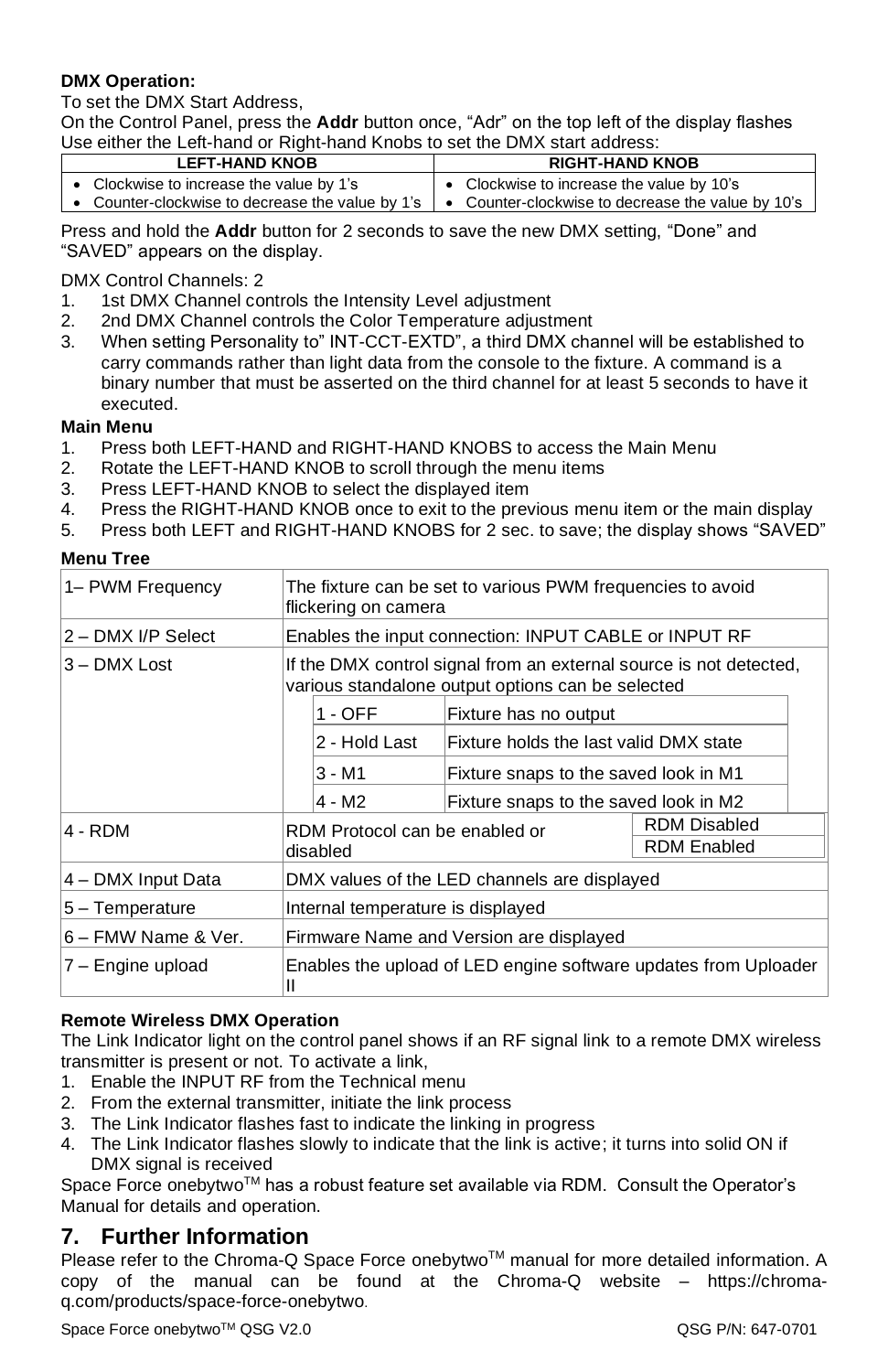#### **DMX Operation:**

To set the DMX Start Address,

On the Control Panel, press the **Addr** button once, "Adr" on the top left of the display flashes Use either the Left-hand or Right-hand Knobs to set the DMX start address:

| <b>LEFT-HAND KNOB</b> |                                          |  | <b>RIGHT-HAND KNOB</b>                                                                               |  |  |
|-----------------------|------------------------------------------|--|------------------------------------------------------------------------------------------------------|--|--|
|                       | • Clockwise to increase the value by 1's |  | • Clockwise to increase the value by 10's                                                            |  |  |
|                       |                                          |  | • Counter-clockwise to decrease the value by 1's   • Counter-clockwise to decrease the value by 10's |  |  |

Press and hold the **Addr** button for 2 seconds to save the new DMX setting, "Done" and "SAVED" appears on the display.

DMX Control Channels: 2

- 1. 1st DMX Channel controls the Intensity Level adjustment
- 2. 2nd DMX Channel controls the Color Temperature adjustment
- 3. When setting Personality to" INT-CCT-EXTD", a third DMX channel will be established to carry commands rather than light data from the console to the fixture. A command is a binary number that must be asserted on the third channel for at least 5 seconds to have it executed.

#### **Main Menu**

- 1. Press both LEFT-HAND and RIGHT-HAND KNOBS to access the Main Menu
- 2. Rotate the LEFT-HAND KNOB to scroll through the menu items
- 3. Press LEFT-HAND KNOB to select the displayed item
- 4. Press the RIGHT-HAND KNOB once to exit to the previous menu item or the main display
- 5. Press both LEFT and RIGHT-HAND KNOBS for 2 sec. to save; the display shows "SAVED"

#### **Menu Tree**

| 1– PWM Frequency    | The fixture can be set to various PWM frequencies to avoid<br>flickering on camera                                      |  |                                        |                    |  |  |
|---------------------|-------------------------------------------------------------------------------------------------------------------------|--|----------------------------------------|--------------------|--|--|
| 2 - DMX I/P Select  | Enables the input connection: INPUT CABLE or INPUT RF                                                                   |  |                                        |                    |  |  |
| 3 - DMX Lost        | If the DMX control signal from an external source is not detected,<br>various standalone output options can be selected |  |                                        |                    |  |  |
|                     | $1 - OFF$                                                                                                               |  | Fixture has no output                  |                    |  |  |
|                     | 2 - Hold Last                                                                                                           |  | Fixture holds the last valid DMX state |                    |  |  |
|                     | 3 - M1                                                                                                                  |  | Fixture snaps to the saved look in M1  |                    |  |  |
|                     | 4 - M2                                                                                                                  |  | Fixture snaps to the saved look in M2  |                    |  |  |
| 4 - RDM             | <b>RDM Disabled</b><br>RDM Protocol can be enabled or                                                                   |  |                                        |                    |  |  |
|                     | disabled                                                                                                                |  |                                        | <b>RDM Enabled</b> |  |  |
| 4 – DMX Input Data  | DMX values of the LED channels are displayed                                                                            |  |                                        |                    |  |  |
| 5 - Temperature     | Internal temperature is displayed                                                                                       |  |                                        |                    |  |  |
| 6 - FMW Name & Ver. | Firmware Name and Version are displayed                                                                                 |  |                                        |                    |  |  |
| 7 – Engine upload   | Enables the upload of LED engine software updates from Uploader<br>Ш                                                    |  |                                        |                    |  |  |

#### **Remote Wireless DMX Operation**

The Link Indicator light on the control panel shows if an RF signal link to a remote DMX wireless transmitter is present or not. To activate a link,

- 1. Enable the INPUT RF from the Technical menu
- 2. From the external transmitter, initiate the link process
- 3. The Link Indicator flashes fast to indicate the linking in progress
- 4. The Link Indicator flashes slowly to indicate that the link is active; it turns into solid ON if DMX signal is received

Space Force onebytwo™ has a robust feature set available via RDM. Consult the Operator's Manual for details and operation.

#### **7. Further Information**

Please refer to the Chroma-Q Space Force onebytwo™ manual for more detailed information. A copy of the manual can be found at the Chroma-Q website – https://chromaq.com/products/space-force-onebytwo.

Space Force onebytwo™ QSG V2.0  $\blacksquare$